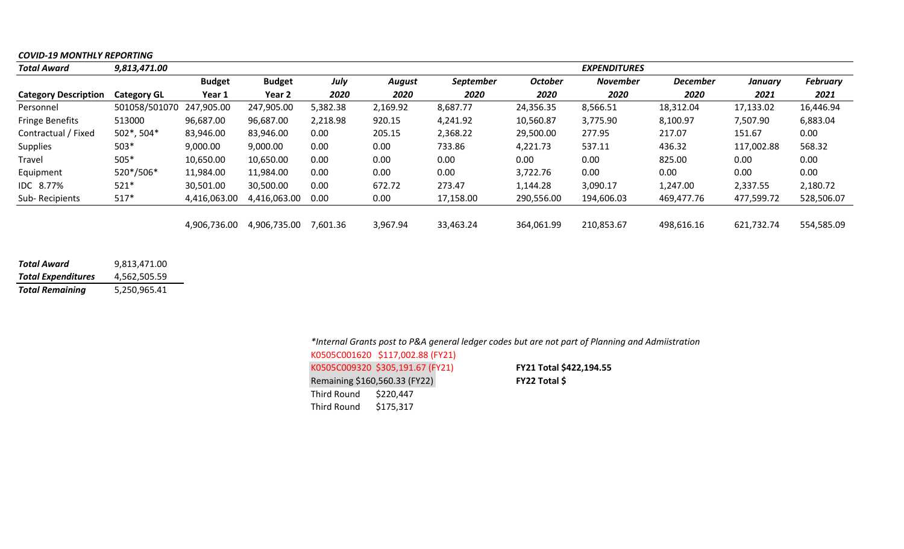| <b>COVID-19 MONTHLY REPORTING</b> |                    |               |               |          |                     |           |                |                 |                 |            |                 |  |  |
|-----------------------------------|--------------------|---------------|---------------|----------|---------------------|-----------|----------------|-----------------|-----------------|------------|-----------------|--|--|
| <b>Total Award</b>                | 9,813,471.00       |               |               |          | <b>EXPENDITURES</b> |           |                |                 |                 |            |                 |  |  |
|                                   |                    | <b>Budget</b> | <b>Budget</b> | July     | <b>August</b>       | September | <b>October</b> | <b>November</b> | <b>December</b> | January    | <b>February</b> |  |  |
| <b>Category Description</b>       | <b>Category GL</b> | Year 1        | Year 2        | 2020     | 2020                | 2020      | 2020           | 2020            | 2020            | 2021       | 2021            |  |  |
| Personnel                         | 501058/501070      | 247,905.00    | 247,905.00    | 5,382.38 | 2,169.92            | 8,687.77  | 24,356.35      | 8,566.51        | 18,312.04       | 17,133.02  | 16,446.94       |  |  |
| <b>Fringe Benefits</b>            | 513000             | 96,687.00     | 96,687.00     | 2,218.98 | 920.15              | 4,241.92  | 10,560.87      | 3,775.90        | 8,100.97        | 7,507.90   | 6,883.04        |  |  |
| Contractual / Fixed               | 502*, 504*         | 83,946.00     | 83,946.00     | 0.00     | 205.15              | 2,368.22  | 29,500.00      | 277.95          | 217.07          | 151.67     | 0.00            |  |  |
| <b>Supplies</b>                   | 503*               | 9,000.00      | 9,000.00      | 0.00     | 0.00                | 733.86    | 4,221.73       | 537.11          | 436.32          | 117,002.88 | 568.32          |  |  |
| Travel                            | 505*               | 10,650.00     | 10,650.00     | 0.00     | 0.00                | 0.00      | 0.00           | 0.00            | 825.00          | 0.00       | 0.00            |  |  |
| Equipment                         | 520*/506*          | 11,984.00     | 11,984.00     | 0.00     | 0.00                | 0.00      | 3,722.76       | 0.00            | 0.00            | 0.00       | 0.00            |  |  |
| IDC 8.77%                         | $521*$             | 30,501.00     | 30,500.00     | 0.00     | 672.72              | 273.47    | 1,144.28       | 3,090.17        | 1,247.00        | 2,337.55   | 2,180.72        |  |  |
| Sub-Recipients                    | $517*$             | 4,416,063.00  | 4,416,063.00  | 0.00     | 0.00                | 17,158.00 | 290,556.00     | 194,606.03      | 469,477.76      | 477,599.72 | 528,506.07      |  |  |
|                                   |                    |               |               |          |                     |           |                |                 |                 |            |                 |  |  |
|                                   |                    | 4,906,736.00  | 4,906,735.00  | 7,601.36 | 3,967.94            | 33,463.24 | 364,061.99     | 210,853.67      | 498,616.16      | 621,732.74 | 554,585.09      |  |  |

| <b>Total Award</b>        | 9,813,471.00 |
|---------------------------|--------------|
| <b>Total Expenditures</b> | 4,562,505.59 |
| <b>Total Remaining</b>    | 5,250,965.41 |

*\*Internal Grants post to P&A general ledger codes but are not part of Planning and Admiistration*

K0505C001620 \$117,002.88 (FY21) K0505C009320 \$305,191.67 (FY21) Remaining \$160,560.33 (FY22) **FY22 Total \$** Third Round \$220,447

\$305,191.67 (FY21) **FY21 Total \$422,194.55**

Third Round \$175,317